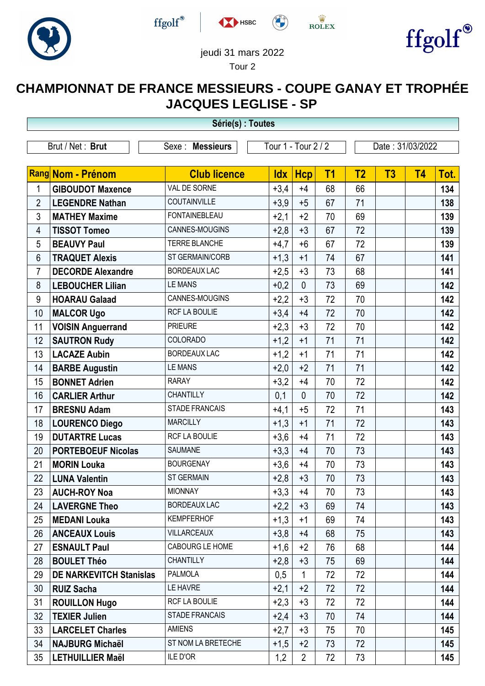







**ED MARK** 



## jeudi 31 mars 2022 Tour 2

## **CHAMPIONNAT DE FRANCE MESSIEURS - COUPE GANAY ET TROPHÉE JACQUES LEGLISE - SP**

| Série(s) : Toutes |                                |                       |            |                     |                |                |                  |           |      |  |  |
|-------------------|--------------------------------|-----------------------|------------|---------------------|----------------|----------------|------------------|-----------|------|--|--|
| Brut / Net: Brut  |                                | Sexe : Messieurs      |            | Tour 1 - Tour 2 / 2 |                |                | Date: 31/03/2022 |           |      |  |  |
|                   | Rang Nom - Prénom              | <b>Club licence</b>   | <b>Idx</b> | <b>Hcp</b>          | T <sub>1</sub> | T <sub>2</sub> | T3               | <b>T4</b> | Tot. |  |  |
| 1                 | <b>GIBOUDOT Maxence</b>        | VAL DE SORNE          | $+3,4$     | $+4$                | 68             | 66             |                  |           | 134  |  |  |
| $\overline{2}$    | <b>LEGENDRE Nathan</b>         | COUTAINVILLE          | $+3,9$     | $+5$                | 67             | 71             |                  |           | 138  |  |  |
| 3                 | <b>MATHEY Maxime</b>           | <b>FONTAINEBLEAU</b>  | $+2,1$     | $+2$                | 70             | 69             |                  |           | 139  |  |  |
| 4                 | <b>TISSOT Tomeo</b>            | CANNES-MOUGINS        | $+2,8$     | $+3$                | 67             | 72             |                  |           | 139  |  |  |
| 5                 | <b>BEAUVY Paul</b>             | TERRE BLANCHE         | $+4,7$     | $+6$                | 67             | 72             |                  |           | 139  |  |  |
| 6                 | <b>TRAQUET Alexis</b>          | ST GERMAIN/CORB       | $+1,3$     | $+1$                | 74             | 67             |                  |           | 141  |  |  |
| 7                 | <b>DECORDE Alexandre</b>       | <b>BORDEAUX LAC</b>   | $+2,5$     | $+3$                | 73             | 68             |                  |           | 141  |  |  |
| 8                 | <b>LEBOUCHER Lilian</b>        | <b>LE MANS</b>        | $+0,2$     | $\mathbf{0}$        | 73             | 69             |                  |           | 142  |  |  |
| 9                 | <b>HOARAU Galaad</b>           | CANNES-MOUGINS        | $+2,2$     | $+3$                | 72             | 70             |                  |           | 142  |  |  |
| 10                | <b>MALCOR Ugo</b>              | RCF LA BOULIE         | $+3,4$     | $+4$                | 72             | 70             |                  |           | 142  |  |  |
| 11                | <b>VOISIN Anguerrand</b>       | <b>PRIEURE</b>        | $+2,3$     | $+3$                | 72             | 70             |                  |           | 142  |  |  |
| 12                | <b>SAUTRON Rudy</b>            | COLORADO              | $+1,2$     | $+1$                | 71             | 71             |                  |           | 142  |  |  |
| 13                | <b>LACAZE Aubin</b>            | <b>BORDEAUX LAC</b>   | $+1,2$     | $+1$                | 71             | 71             |                  |           | 142  |  |  |
| 14                | <b>BARBE Augustin</b>          | <b>LE MANS</b>        | $+2,0$     | $+2$                | 71             | 71             |                  |           | 142  |  |  |
| 15                | <b>BONNET Adrien</b>           | <b>RARAY</b>          | $+3,2$     | $+4$                | 70             | 72             |                  |           | 142  |  |  |
| 16                | <b>CARLIER Arthur</b>          | <b>CHANTILLY</b>      | 0,1        | $\mathbf{0}$        | 70             | 72             |                  |           | 142  |  |  |
| 17                | <b>BRESNU Adam</b>             | <b>STADE FRANCAIS</b> | $+4,1$     | $+5$                | 72             | 71             |                  |           | 143  |  |  |
| 18                | <b>LOURENCO Diego</b>          | <b>MARCILLY</b>       | $+1,3$     | $+1$                | 71             | 72             |                  |           | 143  |  |  |
| 19                | <b>DUTARTRE Lucas</b>          | RCF LA BOULIE         | $+3,6$     | $+4$                | 71             | 72             |                  |           | 143  |  |  |
| 20                | <b>PORTEBOEUF Nicolas</b>      | SAUMANE               | $+3,3$     | $+4$                | 70             | 73             |                  |           | 143  |  |  |
| 21                | <b>MORIN Louka</b>             | <b>BOURGENAY</b>      | $+3,6$     | $+4$                | 70             | 73             |                  |           | 143  |  |  |
| 22                | <b>LUNA Valentin</b>           | <b>ST GERMAIN</b>     | $+2,8$     | $+3$                | 70             | 73             |                  |           | 143  |  |  |
| 23                | <b>AUCH-ROY Noa</b>            | <b>MIONNAY</b>        | $+3,3$     | $+4$                | 70             | 73             |                  |           | 143  |  |  |
| 24                | <b>LAVERGNE Theo</b>           | <b>BORDEAUX LAC</b>   | $+2,2$     | $+3$                | 69             | 74             |                  |           | 143  |  |  |
| 25                | <b>MEDANI Louka</b>            | <b>KEMPFERHOF</b>     | $+1,3$     | $+1$                | 69             | 74             |                  |           | 143  |  |  |
| 26                | <b>ANCEAUX Louis</b>           | <b>VILLARCEAUX</b>    | $+3,8$     | $+4$                | 68             | 75             |                  |           | 143  |  |  |
| 27                | <b>ESNAULT Paul</b>            | CABOURG LE HOME       | $+1,6$     | $+2$                | 76             | 68             |                  |           | 144  |  |  |
| 28                | <b>BOULET Théo</b>             | <b>CHANTILLY</b>      | $+2,8$     | $+3$                | 75             | 69             |                  |           | 144  |  |  |
| 29                | <b>DE NARKEVITCH Stanislas</b> | <b>PALMOLA</b>        | 0,5        | 1                   | 72             | 72             |                  |           | 144  |  |  |
| 30                | <b>RUIZ Sacha</b>              | LE HAVRE              | $+2,1$     | $+2$                | 72             | 72             |                  |           | 144  |  |  |
| 31                | <b>ROUILLON Hugo</b>           | RCF LA BOULIE         | $+2,3$     | $+3$                | 72             | 72             |                  |           | 144  |  |  |
| 32                | <b>TEXIER Julien</b>           | <b>STADE FRANCAIS</b> | $+2,4$     | $+3$                | 70             | 74             |                  |           | 144  |  |  |
| 33                | <b>LARCELET Charles</b>        | <b>AMIENS</b>         | $+2,7$     | $+3$                | 75             | 70             |                  |           | 145  |  |  |
| 34                | <b>NAJBURG Michaël</b>         | ST NOM LA BRETECHE    | $+1,5$     | $+2$                | 73             | 72             |                  |           | 145  |  |  |
| 35                | <b>LETHUILLIER Maël</b>        | ILE D'OR              | 1,2        | $\overline{2}$      | 72             | 73             |                  |           | 145  |  |  |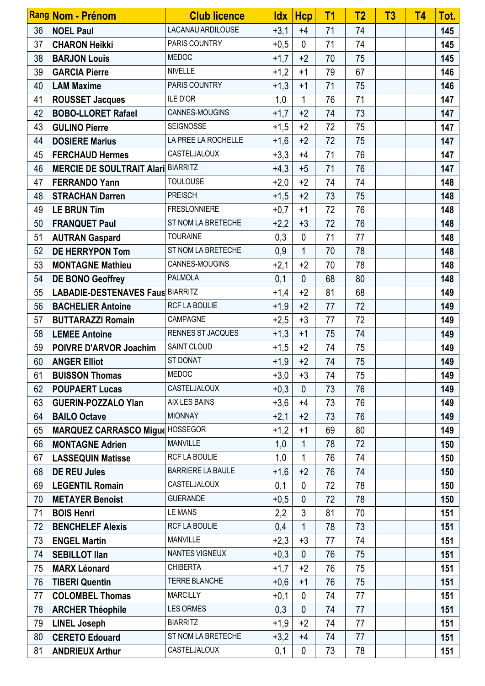|    | Rang Nom - Prénom                         | <b>Club licence</b>      | <b>Idx</b> | <b>Hcp</b>   | T1 | T <sub>2</sub> | T <sub>3</sub> | <b>T4</b> | Tot. |
|----|-------------------------------------------|--------------------------|------------|--------------|----|----------------|----------------|-----------|------|
| 36 | <b>NOEL Paul</b>                          | LACANAU ARDILOUSE        | $+3,1$     | $+4$         | 71 | 74             |                |           | 145  |
| 37 | <b>CHARON Heikki</b>                      | PARIS COUNTRY            | $+0,5$     | $\mathbf{0}$ | 71 | 74             |                |           | 145  |
| 38 | <b>BARJON Louis</b>                       | <b>MEDOC</b>             | $+1,7$     | $+2$         | 70 | 75             |                |           | 145  |
| 39 | <b>GARCIA Pierre</b>                      | <b>NIVELLE</b>           | $+1,2$     | $+1$         | 79 | 67             |                |           | 146  |
| 40 | <b>LAM Maxime</b>                         | PARIS COUNTRY            | $+1,3$     | $+1$         | 71 | 75             |                |           | 146  |
| 41 | <b>ROUSSET Jacques</b>                    | ILE D'OR                 | 1,0        | $\mathbf{1}$ | 76 | 71             |                |           | 147  |
| 42 | <b>BOBO-LLORET Rafael</b>                 | CANNES-MOUGINS           | $+1,7$     | $+2$         | 74 | 73             |                |           | 147  |
| 43 | <b>GULINO Pierre</b>                      | SEIGNOSSE                | $+1,5$     | $+2$         | 72 | 75             |                |           | 147  |
| 44 | <b>DOSIERE Marius</b>                     | LA PREE LA ROCHELLE      | $+1,6$     | $+2$         | 72 | 75             |                |           | 147  |
| 45 | <b>FERCHAUD Hermes</b>                    | CASTELJALOUX             | $+3,3$     | $+4$         | 71 | 76             |                |           | 147  |
| 46 | <b>MERCIE DE SOULTRAIT Alari BIARRITZ</b> |                          | $+4,3$     | $+5$         | 71 | 76             |                |           | 147  |
| 47 | <b>FERRANDO Yann</b>                      | <b>TOULOUSE</b>          | $+2,0$     | $+2$         | 74 | 74             |                |           | 148  |
| 48 | <b>STRACHAN Darren</b>                    | <b>PREISCH</b>           | $+1,5$     | $+2$         | 73 | 75             |                |           | 148  |
| 49 | <b>LE BRUN Tim</b>                        | <b>FRESLONNIERE</b>      | $+0,7$     | $+1$         | 72 | 76             |                |           | 148  |
| 50 | <b>FRANQUET Paul</b>                      | ST NOM LA BRETECHE       | $+2,2$     | $+3$         | 72 | 76             |                |           | 148  |
| 51 | <b>AUTRAN Gaspard</b>                     | <b>TOURAINE</b>          | 0,3        | $\mathbf{0}$ | 71 | 77             |                |           | 148  |
| 52 | <b>DE HERRYPON Tom</b>                    | ST NOM LA BRETECHE       | 0,9        | $\mathbf{1}$ | 70 | 78             |                |           | 148  |
| 53 | <b>MONTAGNE Mathieu</b>                   | CANNES-MOUGINS           | $+2,1$     | $+2$         | 70 | 78             |                |           | 148  |
| 54 | <b>DE BONO Geoffrey</b>                   | <b>PALMOLA</b>           | 0,1        | $\mathbf{0}$ | 68 | 80             |                |           | 148  |
| 55 | <b>LABADIE-DESTENAVES Faus BIARRITZ</b>   |                          | $+1,4$     | $+2$         | 81 | 68             |                |           | 149  |
| 56 | <b>BACHELIER Antoine</b>                  | RCF LA BOULIE            | $+1,9$     | $+2$         | 77 | 72             |                |           | 149  |
| 57 | <b>BUTTARAZZI Romain</b>                  | CAMPAGNE                 | $+2,5$     | $+3$         | 77 | 72             |                |           | 149  |
| 58 | <b>LEMEE Antoine</b>                      | RENNES ST JACQUES        | $+1,3$     | $+1$         | 75 | 74             |                |           | 149  |
| 59 | <b>POIVRE D'ARVOR Joachim</b>             | SAINT CLOUD              | $+1,5$     | $+2$         | 74 | 75             |                |           | 149  |
| 60 | <b>ANGER Elliot</b>                       | ST DONAT                 | $+1,9$     | $+2$         | 74 | 75             |                |           | 149  |
| 61 | <b>BUISSON Thomas</b>                     | MEDOC                    | $+3,0$     | $+3$         | 74 | 75             |                |           | 149  |
| 62 | <b>POUPAERT Lucas</b>                     | <b>CASTELJALOUX</b>      | $+0,3$     | $\mathbf{0}$ | 73 | 76             |                |           | 149  |
| 63 | <b>GUERIN-POZZALO Ylan</b>                | AIX LES BAINS            | $+3,6$     | $+4$         | 73 | 76             |                |           | 149  |
| 64 | <b>BAILO Octave</b>                       | <b>MIONNAY</b>           | $+2,1$     | $+2$         | 73 | 76             |                |           | 149  |
| 65 | MARQUEZ CARRASCO Migue HOSSEGOR           |                          | $+1,2$     | $+1$         | 69 | 80             |                |           | 149  |
| 66 | <b>MONTAGNE Adrien</b>                    | <b>MANVILLE</b>          | 1,0        | 1            | 78 | 72             |                |           | 150  |
| 67 | <b>LASSEQUIN Matisse</b>                  | RCF LA BOULIE            | 1,0        | $\mathbf{1}$ | 76 | 74             |                |           | 150  |
| 68 | <b>DE REU Jules</b>                       | <b>BARRIERE LA BAULE</b> | $+1,6$     | $+2$         | 76 | 74             |                |           | 150  |
| 69 | <b>LEGENTIL Romain</b>                    | CASTELJALOUX             | 0,1        | $\mathbf 0$  | 72 | 78             |                |           | 150  |
| 70 | <b>METAYER Benoist</b>                    | <b>GUERANDE</b>          | $+0,5$     | $\mathbf{0}$ | 72 | 78             |                |           | 150  |
| 71 | <b>BOIS Henri</b>                         | <b>LE MANS</b>           | 2,2        | 3            | 81 | 70             |                |           | 151  |
| 72 | <b>BENCHELEF Alexis</b>                   | RCF LA BOULIE            | 0,4        | $\mathbf{1}$ | 78 | 73             |                |           | 151  |
| 73 | <b>ENGEL Martin</b>                       | <b>MANVILLE</b>          | $+2,3$     | $+3$         | 77 | 74             |                |           | 151  |
| 74 | <b>SEBILLOT Ilan</b>                      | <b>NANTES VIGNEUX</b>    | $+0,3$     | $\mathbf{0}$ | 76 | 75             |                |           | 151  |
| 75 | <b>MARX Léonard</b>                       | <b>CHIBERTA</b>          | $+1,7$     | $+2$         | 76 | 75             |                |           | 151  |
| 76 | <b>TIBERI Quentin</b>                     | TERRE BLANCHE            | $+0,6$     | $+1$         | 76 | 75             |                |           | 151  |
| 77 | <b>COLOMBEL Thomas</b>                    | <b>MARCILLY</b>          | $+0,1$     | $\mathbf{0}$ | 74 | 77             |                |           | 151  |
| 78 | <b>ARCHER Théophile</b>                   | <b>LES ORMES</b>         | 0,3        | $\mathbf{0}$ | 74 | 77             |                |           | 151  |
| 79 | <b>LINEL Joseph</b>                       | <b>BIARRITZ</b>          | $+1,9$     | $+2$         | 74 | 77             |                |           | 151  |
| 80 | <b>CERETO Edouard</b>                     | ST NOM LA BRETECHE       | $+3,2$     | $+4$         | 74 | 77             |                |           | 151  |
| 81 | <b>ANDRIEUX Arthur</b>                    | CASTELJALOUX             | 0,1        | $\mathbf 0$  | 73 | 78             |                |           | 151  |